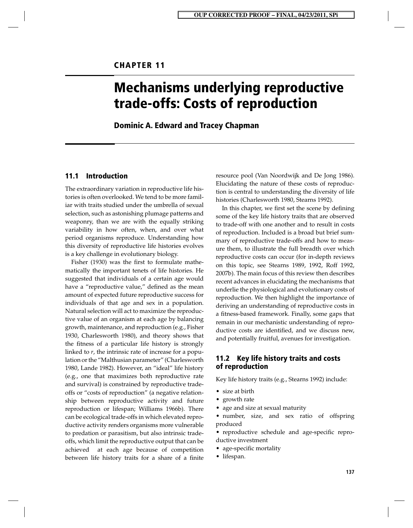# **Mechanisms underlying reproductive trade-offs: Costs of reproduction**

**Dominic A. Edward and Tracey Chapman** 

## **11.1 Introduction**

 The extraordinary variation in reproductive life histories is often overlooked. We tend to be more familiar with traits studied under the umbrella of sexual selection, such as astonishing plumage patterns and weaponry, than we are with the equally striking variability in how often, when, and over what period organisms reproduce. Understanding how this diversity of reproductive life histories evolves is a key challenge in evolutionary biology.

Fisher (1930) was the first to formulate mathematically the important tenets of life histories. He suggested that individuals of a certain age would have a "reproductive value," defined as the mean amount of expected future reproductive success for individuals of that age and sex in a population. Natural selection will act to maximize the reproductive value of an organism at each age by balancing growth, maintenance, and reproduction (e.g., Fisher 1930, Charlesworth 1980), and theory shows that the fitness of a particular life history is strongly linked to *r*, the intrinsic rate of increase for a population or the "Malthusian parameter" (Charlesworth 1980, Lande 1982). However, an "ideal" life history (e.g., one that maximizes both reproductive rate and survival) is constrained by reproductive tradeoffs or "costs of reproduction" (a negative relationship between reproductive activity and future reproduction or lifespan; Williams 1966b). There can be ecological trade-offs in which elevated reproductive activity renders organisms more vulnerable to predation or parasitism, but also intrinsic tradeoffs, which limit the reproductive output that can be achieved at each age because of competition between life history traits for a share of a finite resource pool (Van Noordwijk and De Jong 1986). Elucidating the nature of these costs of reproduction is central to understanding the diversity of life histories (Charlesworth 1980, Stearns 1992).

In this chapter, we first set the scene by defining some of the key life history traits that are observed to trade-off with one another and to result in costs of reproduction. Included is a broad but brief summary of reproductive trade-offs and how to measure them, to illustrate the full breadth over which reproductive costs can occur (for in-depth reviews on this topic, see Stearns 1989, 1992, Roff 1992, 2007b). The main focus of this review then describes recent advances in elucidating the mechanisms that underlie the physiological and evolutionary costs of reproduction. We then highlight the importance of deriving an understanding of reproductive costs in a fitness-based framework. Finally, some gaps that remain in our mechanistic understanding of reproductive costs are identified, and we discuss new, and potentially fruitful, avenues for investigation.

# **11.2 Key life history traits and costs of reproduction**

Key life history traits (e.g., Stearns 1992) include:

- size at birth
- growth rate
- age and size at sexual maturity
- number, size, and sex ratio of offspring produced
- reproductive schedule and age-specific reproductive investment
- age-specific mortality
- lifespan.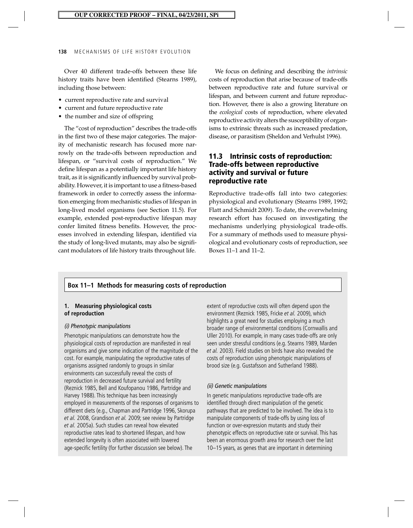Over 40 different trade-offs between these life history traits have been identified (Stearns 1989), including those between:

- current reproductive rate and survival
- current and future reproductive rate
- the number and size of offspring

 The "cost of reproduction" describes the trade-offs in the first two of these major categories. The majority of mechanistic research has focused more narrowly on the trade-offs between reproduction and lifespan, or "survival costs of reproduction." We define lifespan as a potentially important life history trait, as it is significantly influenced by survival probability. However, it is important to use a fitness-based framework in order to correctly assess the information emerging from mechanistic studies of lifespan in long-lived model organisms (see Section 11.5). For example, extended post-reproductive lifespan may confer limited fitness benefits. However, the processes involved in extending lifespan, identified via the study of long-lived mutants, may also be significant modulators of life history traits throughout life.

We focus on defining and describing the *intrinsic* costs of reproduction that arise because of trade-offs between reproductive rate and future survival or lifespan, and between current and future reproduction. However, there is also a growing literature on the *ecological* costs of reproduction, where elevated reproductive activity alters the susceptibility of organisms to extrinsic threats such as increased predation, disease, or parasitism (Sheldon and Verhulst 1996).

# **11.3 Intrinsic costs of reproduction: Trade-offs between reproductive activity and survival or future reproductive rate**

 Reproductive trade-offs fall into two categories: physiological and evolutionary (Stearns 1989, 1992; Flatt and Schmidt 2009). To date, the overwhelming research effort has focused on investigating the mechanisms underlying physiological trade-offs. For a summary of methods used to measure physiological and evolutionary costs of reproduction, see Boxes 11–1 and 11–2.

### **Box 11–1 Methods for measuring costs of reproduction**

#### **1. Measuring physiological costs of reproduction**

#### (i) Phenotypic manipulations

 Phenotypic manipulations can demonstrate how the physiological costs of reproduction are manifested in real organisms and give some indication of the magnitude of the cost. For example, manipulating the reproductive rates of organisms assigned randomly to groups in similar environments can successfully reveal the costs of reproduction in decreased future survival and fertility (Reznick 1985, Bell and Koufopanou 1986, Partridge and Harvey 1988). This technique has been increasingly employed in measurements of the responses of organisms to different diets (e.g., Chapman and Partridge 1996, Skorupa et al. 2008, Grandison et al. 2009; see review by Partridge et al. 2005a). Such studies can reveal how elevated reproductive rates lead to shortened lifespan, and how extended longevity is often associated with lowered age-specific fertility (for further discussion see below). The

extent of reproductive costs will often depend upon the environment (Reznick 1985, Fricke et al. 2009), which highlights a great need for studies employing a much broader range of environmental conditions (Cornwallis and Uller 2010). For example, in many cases trade-offs are only seen under stressful conditions (e.g. Stearns 1989 , Marden et al. 2003). Field studies on birds have also revealed the costs of reproduction using phenotypic manipulations of brood size (e.g. Gustafsson and Sutherland 1988).

#### (ii) Genetic manipulations

 In genetic manipulations reproductive trade-offs are identified through direct manipulation of the genetic pathways that are predicted to be involved. The idea is to manipulate components of trade-offs by using loss of function or over-expression mutants and study their phenotypic effects on reproductive rate or survival. This has been an enormous growth area for research over the last 10–15 years, as genes that are important in determining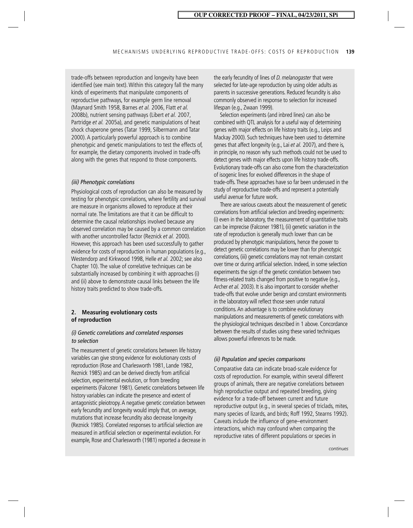trade-offs between reproduction and longevity have been identified (see main text). Within this category fall the many kinds of experiments that manipulate components of reproductive pathways, for example germ line removal (Maynard Smith 1958, Barnes et al. 2006, Flatt et al. 2008b), nutrient sensing pathways (Libert et al. 2007, Partridge et al. 2005a), and genetic manipulations of heat shock chaperone genes ( Tatar 1999 , Silbermann and Tatar 2000). A particularly powerful approach is to combine phenotypic and genetic manipulations to test the effects of, for example, the dietary components involved in trade-offs along with the genes that respond to those components.

### (iii) Phenotypic correlations

 Physiological costs of reproduction can also be measured by testing for phenotypic correlations, where fertility and survival are measure in organisms allowed to reproduce at their normal rate. The limitations are that it can be difficult to determine the causal relationships involved because any observed correlation may be caused by a common correlation with another uncontrolled factor (Reznick et al. 2000). However, this approach has been used successfully to gather evidence for costs of reproduction in human populations (e.g., Westendorp and Kirkwood 1998, Helle et al. 2002; see also Chapter 10). The value of correlative techniques can be substantially increased by combining it with approaches (i) and (ii) above to demonstrate causal links between the life history traits predicted to show trade-offs.

# **2. Measuring evolutionary costs of reproduction**

### (i) Genetic correlations and correlated responses to selection

 The measurement of genetic correlations between life history variables can give strong evidence for evolutionary costs of reproduction (Rose and Charlesworth 1981, Lande 1982, Reznick 1985) and can be derived directly from artificial selection, experimental evolution, or from breeding experiments (Falconer 1981). Genetic correlations between life history variables can indicate the presence and extent of antagonistic pleiotropy. A negative genetic correlation between early fecundity and longevity would imply that, on average, mutations that increase fecundity also decrease longevity (Reznick 1985). Correlated responses to artificial selection are measured in artificial selection or experimental evolution. For example, Rose and Charlesworth (1981) reported a decrease in the early fecundity of lines of *D. melanogaster* that were selected for late-age reproduction by using older adults as parents in successive generations. Reduced fecundity is also commonly observed in response to selection for increased lifespan (e.g., Zwaan 1999).

 Selection experiments (and inbred lines) can also be combined with QTL analysis for a useful way of determining genes with major effects on life history traits (e.g., Leips and Mackay 2000). Such techniques have been used to determine genes that affect longevity (e.g., Lai et al. 2007), and there is, in principle, no reason why such methods could not be used to detect genes with major effects upon life history trade-offs. Evolutionary trade-offs can also come from the characterization of isogenic lines for evolved differences in the shape of trade-offs. These approaches have so far been underused in the study of reproductive trade-offs and represent a potentially useful avenue for future work.

 There are various caveats about the measurement of genetic correlations from artificial selection and breeding experiments: (i) even in the laboratory, the measurement of quantitative traits can be imprecise (Falconer 1981), (ii) genetic variation in the rate of reproduction is generally much lower than can be produced by phenotypic manipulations, hence the power to detect genetic correlations may be lower than for phenotypic correlations, (iii) genetic correlations may not remain constant over time or during artificial selection. Indeed, in some selection experiments the sign of the genetic correlation between two fitness-related traits changed from positive to negative (e.g., Archer et al. 2003). It is also important to consider whether trade-offs that evolve under benign and constant environments in the laboratory will reflect those seen under natural conditions. An advantage is to combine evolutionary manipulations and measurements of genetic correlations with the physiological techniques described in 1 above. Concordance between the results of studies using these varied techniques allows powerful inferences to be made.

### (ii) Population and species comparisons

 Comparative data can indicate broad-scale evidence for costs of reproduction. For example, within several different groups of animals, there are negative correlations between high reproductive output and repeated breeding, giving evidence for a trade-off between current and future reproductive output (e.g., in several species of triclads, mites, many species of lizards, and birds; Roff 1992 , Stearns 1992 ). Caveats include the influence of gene–environment interactions, which may confound when comparing the reproductive rates of different populations or species in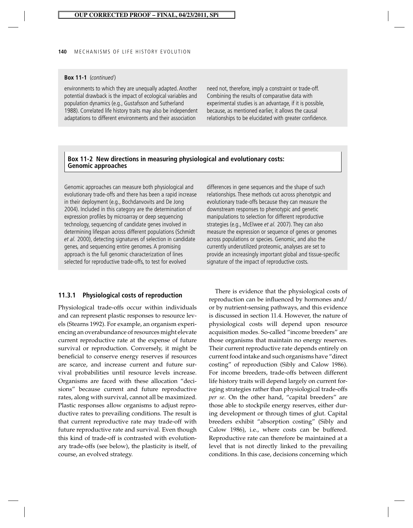#### Box 11-1 (continued)

environments to which they are unequally adapted. Another potential drawback is the impact of ecological variables and population dynamics (e.g., Gustafsson and Sutherland 1988). Correlated life history traits may also be independent adaptations to different environments and their association

need not, therefore, imply a constraint or trade-off. Combining the results of comparative data with experimental studies is an advantage, if it is possible, because, as mentioned earlier, it allows the causal relationships to be elucidated with greater confidence.

### **Box 11-2 New directions in measuring physiological and evolutionary costs: Genomic approaches**

 Genomic approaches can measure both physiological and evolutionary trade-offs and there has been a rapid increase in their deployment (e.g., Bochdanvovits and De Jong 2004). Included in this category are the determination of expression profiles by microarray or deep sequencing technology, sequencing of candidate genes involved in determining lifespan across different populations (Schmidt et al. 2000), detecting signatures of selection in candidate genes, and sequencing entire genomes. A promising approach is the full genomic characterization of lines selected for reproductive trade-offs, to test for evolved

### **11.3.1 Physiological costs of reproduction**

 Physiological trade-offs occur within individuals and can represent plastic responses to resource levels (Stearns 1992). For example, an organism experiencing an overabundance of resources might elevate current reproductive rate at the expense of future survival or reproduction. Conversely, it might be beneficial to conserve energy reserves if resources are scarce, and increase current and future survival probabilities until resource levels increase. Organisms are faced with these allocation "decisions" because current and future reproductive rates, along with survival, cannot all be maximized. Plastic responses allow organisms to adjust reproductive rates to prevailing conditions. The result is that current reproductive rate may trade-off with future reproductive rate and survival. Even though this kind of trade-off is contrasted with evolutionary trade-offs (see below), the plasticity is itself, of course, an evolved strategy.

differences in gene sequences and the shape of such relationships. These methods cut across phenotypic and evolutionary trade-offs because they can measure the downstream responses to phenotypic and genetic manipulations to selection for different reproductive strategies (e.g., McElwee et al. 2007). They can also measure the expression or sequence of genes or genomes across populations or species. Genomic, and also the currently underutilized proteomic, analyses are set to provide an increasingly important global and tissue-specific signature of the impact of reproductive costs.

 There is evidence that the physiological costs of reproduction can be influenced by hormones and/ or by nutrient-sensing pathways, and this evidence is discussed in section 11.4 . However, the nature of physiological costs will depend upon resource acquisition modes. So-called "income breeders" are those organisms that maintain no energy reserves. Their current reproductive rate depends entirely on current food intake and such organisms have "direct costing" of reproduction (Sibly and Calow 1986). For income breeders, trade-offs between different life history traits will depend largely on current foraging strategies rather than physiological trade-offs *per se* . On the other hand, "capital breeders" are those able to stockpile energy reserves, either during development or through times of glut. Capital breeders exhibit "absorption costing" (Sibly and Calow 1986), i.e., where costs can be buffered. Reproductive rate can therefore be maintained at a level that is not directly linked to the prevailing conditions. In this case, decisions concerning which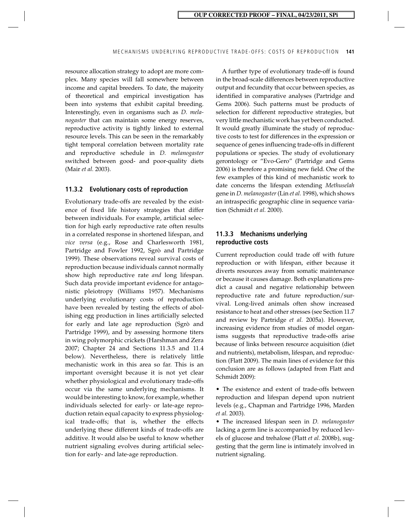resource allocation strategy to adopt are more complex. Many species will fall somewhere between income and capital breeders. To date, the majority of theoretical and empirical investigation has been into systems that exhibit capital breeding. Interestingly, even in organisms such as *D. melanogaster* that can maintain some energy reserves, reproductive activity is tightly linked to external resource levels. This can be seen in the remarkably tight temporal correlation between mortality rate and reproductive schedule in *D. melanogaster* switched between good- and poor-quality diets (Mair *et al.* 2003).

#### **11.3.2 Evolutionary costs of reproduction**

 Evolutionary trade-offs are revealed by the existence of fixed life history strategies that differ between individuals. For example, artificial selection for high early reproductive rate often results in a correlated response in shortened lifespan, and *vice versa* (e.g., Rose and Charlesworth 1981, Partridge and Fowler 1992, Sgrò and Partridge 1999). These observations reveal survival costs of reproduction because individuals cannot normally show high reproductive rate *and* long lifespan. Such data provide important evidence for antagonistic pleiotropy (Williams 1957). Mechanisms underlying evolutionary costs of reproduction have been revealed by testing the effects of abolishing egg production in lines artificially selected for early and late age reproduction (Sgrò and Partridge 1999), and by assessing hormone titers in wing polymorphic crickets (Harshman and Zera 2007; Chapter 24 and Sections 11.3.5 and 11.4 below). Nevertheless, there is relatively little mechanistic work in this area so far. This is an important oversight because it is not yet clear whether physiological and evolutionary trade-offs occur via the same underlying mechanisms. It would be interesting to know, for example, whether individuals selected for early- or late-age reproduction retain equal capacity to express physiological trade-offs; that is, whether the effects underlying these different kinds of trade-offs are additive. It would also be useful to know whether nutrient signaling evolves during artificial selection for early- and late-age reproduction.

 A further type of evolutionary trade-off is found in the broad-scale differences between reproductive output and fecundity that occur between species, as identified in comparative analyses (Partridge and Gems 2006). Such patterns must be products of selection for different reproductive strategies, but very little mechanistic work has yet been conducted. It would greatly illuminate the study of reproductive costs to test for differences in the expression or sequence of genes influencing trade-offs in different populations or species. The study of evolutionary gerontology or "Evo-Gero" (Partridge and Gems 2006) is therefore a promising new field. One of the few examples of this kind of mechanistic work to date concerns the lifespan extending *Methuselah* gene in *D. melanogaster* ( Lin *et al.* 1998 ), which shows an intraspecific geographic cline in sequence variation (Schmidt et al. 2000).

### **11.3.3 Mechanisms underlying reproductive costs**

 Current reproduction could trade off with future reproduction or with lifespan, either because it diverts resources away from somatic maintenance or because it causes damage. Both explanations predict a causal and negative relationship between reproductive rate and future reproduction/survival. Long-lived animals often show increased resistance to heat and other stresses (see Section 11.7 and review by Partridge *et al.* 2005a ). However, increasing evidence from studies of model organisms suggests that reproductive trade-offs arise because of links between resource acquisition (diet and nutrients), metabolism, lifespan, and reproduction (Flatt 2009). The main lines of evidence for this conclusion are as follows (adapted from Flatt and Schmidt 2009):

 • The existence and extent of trade-offs between reproduction and lifespan depend upon nutrient levels (e.g., Chapman and Partridge 1996, Marden *et al.* 2003).

 • The increased lifespan seen in *D. melanogaster* lacking a germ line is accompanied by reduced levels of glucose and trehalose (Flatt *et al.* 2008b), suggesting that the germ line is intimately involved in nutrient signaling.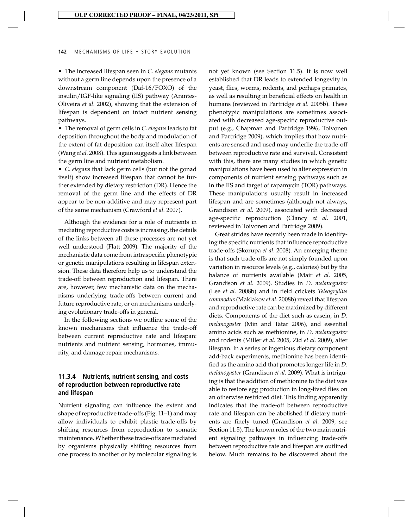• The increased lifespan seen in *C. elegans* mutants without a germ line depends upon the presence of a downstream component (Daf-16/FOXO) of the insulin/IGF-like signaling (IIS) pathway ( Arantes-Oliveira *et al.* 2002), showing that the extension of lifespan is dependent on intact nutrient sensing pathways.

 • The removal of germ cells in *C. elegans* leads to fat deposition throughout the body and modulation of the extent of fat deposition can itself alter lifespan (Wang *et al.* 2008). This again suggests a link between the germ line and nutrient metabolism.

 • *C. elegans* that lack germ cells (but not the gonad itself) show increased lifespan that cannot be further extended by dietary restriction (DR). Hence the removal of the germ line and the effects of DR appear to be non-additive and may represent part of the same mechanism (Crawford *et al.* 2007).

 Although the evidence for a role of nutrients in mediating reproductive costs is increasing, the details of the links between all these processes are not yet well understood (Flatt 2009). The majority of the mechanistic data come from intraspecific phenotypic or genetic manipulations resulting in lifespan extension. These data therefore help us to understand the trade-off between reproduction and lifespan. There are, however, few mechanistic data on the mechanisms underlying trade-offs between current and future reproductive rate, or on mechanisms underlying evolutionary trade-offs in general.

 In the following sections we outline some of the known mechanisms that influence the trade-off between current reproductive rate and lifespan: nutrients and nutrient sensing, hormones, immunity, and damage repair mechanisms.

## **11.3.4 Nutrients, nutrient sensing, and costs of reproduction between reproductive rate and lifespan**

Nutrient signaling can influence the extent and shape of reproductive trade-offs (Fig. 11-1) and may allow individuals to exhibit plastic trade-offs by shifting resources from reproduction to somatic maintenance. Whether these trade-offs are mediated by organisms physically shifting resources from one process to another or by molecular signaling is not yet known (see Section 11.5). It is now well established that DR leads to extended longevity in yeast, flies, worms, rodents, and perhaps primates, as well as resulting in beneficial effects on health in humans (reviewed in Partridge *et al.* 2005b). These phenotypic manipulations are sometimes associated with decreased age-specific reproductive output (e.g., Chapman and Partridge 1996, Toivonen and Partridge 2009), which implies that how nutrients are sensed and used may underlie the trade-off between reproductive rate and survival. Consistent with this, there are many studies in which genetic manipulations have been used to alter expression in components of nutrient sensing pathways such as in the IIS and target of rapamycin (TOR) pathways. These manipulations usually result in increased lifespan and are sometimes (although not always, Grandison et al. 2009), associated with decreased age-specific reproduction (Clancy *et al.* 2001, reviewed in Toivonen and Partridge 2009).

 Great strides have recently been made in identifying the specific nutrients that influence reproductive trade-offs (Skorupa et al. 2008). An emerging theme is that such trade-offs are not simply founded upon variation in resource levels (e.g., calories) but by the balance of nutrients available (Mair et al. 2005, Grandison et al. 2009). Studies in *D. melanogaster* (Lee *et al.* 2008b) and in field crickets *Teleogryllus commodus* (Maklakov *et al.* 2008b) reveal that lifespan and reproductive rate can be maximized by different diets. Components of the diet such as casein, in *D.*  melanogaster (Min and Tatar 2006), and essential amino acids such as methionine, in *D. melanogaster* and rodents ( Miller *et al.* 2005 , Zid *et al.* 2009 ), alter lifespan. In a series of ingenious dietary component add-back experiments, methionine has been identified as the amino acid that promotes longer life in *D*. *melanogaster* ( Grandison *et al.* 2009 ). What is intriguing is that the addition of methionine to the diet was able to restore egg production in long-lived flies on an otherwise restricted diet. This finding apparently indicates that the trade-off between reproductive rate and lifespan can be abolished if dietary nutrients are finely tuned (Grandison et al. 2009, see Section 11.5). The known roles of the two main nutrient signaling pathways in influencing trade-offs between reproductive rate and lifespan are outlined below. Much remains to be discovered about the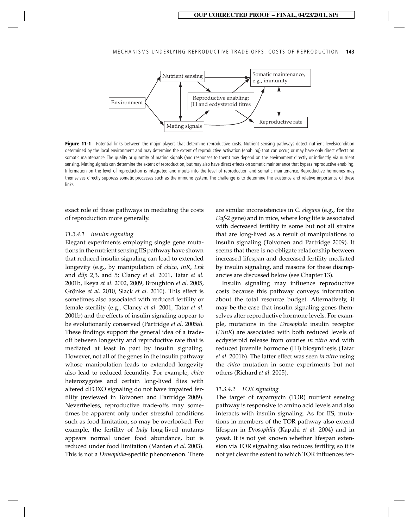

Figure 11-1 Potential links between the major players that determine reproductive costs. Nutrient sensing pathways detect nutrient levels/condition determined by the local environment and may determine the extent of reproductive activation (enabling) that can occur, or may have only direct effects on somatic maintenance. The quality or quantity of mating signals (and responses to them) may depend on the environment directly or indirectly, via nutrient sensing. Mating signals can determine the extent of reproduction, but may also have direct effects on somatic maintenance that bypass reproductive enabling. Information on the level of reproduction is integrated and inputs into the level of reproduction and somatic maintenance. Reproductive hormones may themselves directly suppress somatic processes such as the immune system. The challenge is to determine the existence and relative importance of these links.

exact role of these pathways in mediating the costs of reproduction more generally.

#### *11.3.4.1 Insulin signaling*

 Elegant experiments employing single gene mutations in the nutrient sensing IIS pathway have shown that reduced insulin signaling can lead to extended longevity (e.g., by manipulation of *chico*, InR, Lnk and *dilp* 2,3, and 5; Clancy *et al.* 2001, Tatar *et al.* 2001b, Ikeya et al. 2002, 2009, Broughton et al. 2005, Grönke et al. 2010, Slack et al. 2010). This effect is sometimes also associated with reduced fertility or female sterility (e.g., Clancy *et al.* 2001, Tatar *et al.* 2001b) and the effects of insulin signaling appear to be evolutionarily conserved (Partridge et al. 2005a). These findings support the general idea of a tradeoff between longevity and reproductive rate that is mediated at least in part by insulin signaling. However, not all of the genes in the insulin pathway whose manipulation leads to extended longevity also lead to reduced fecundity. For example, *chico* heterozygotes and certain long-lived flies with altered dFOXO signaling do not have impaired fertility (reviewed in Toivonen and Partridge 2009). Nevertheless, reproductive trade-offs may sometimes be apparent only under stressful conditions such as food limitation, so may be overlooked. For example, the fertility of *Indy* long-lived mutants appears normal under food abundance, but is reduced under food limitation (Marden et al. 2003). This is not a *Drosophila*-specific phenomenon. There are similar inconsistencies in *C. elegans* (e.g., for the *Daf-*2 gene) and in mice, where long life is associated with decreased fertility in some but not all strains that are long-lived as a result of manipulations to insulin signaling (Toivonen and Partridge 2009). It seems that there is no obligate relationship between increased lifespan and decreased fertility mediated by insulin signaling, and reasons for these discrepancies are discussed below (see Chapter 13).

Insulin signaling may influence reproductive costs because this pathway conveys information about the total resource budget. Alternatively, it may be the case that insulin signaling genes themselves alter reproductive hormone levels. For example, mutations in the *Drosophila* insulin receptor ( *DInR* ) are associated with both reduced levels of ecdysteroid release from ovaries *in vitro* and with reduced juvenile hormone (JH) biosynthesis (Tatar et al. 2001b). The latter effect was seen *in vitro* using the *chico* mutation in some experiments but not others (Richard et al. 2005).

#### *11.3.4.2 TOR signaling*

 The target of rapamycin (TOR) nutrient sensing pathway is responsive to amino acid levels and also interacts with insulin signaling. As for IIS, mutations in members of the TOR pathway also extend lifespan in *Drosophila* (Kapahi et al. 2004) and in yeast. It is not yet known whether lifespan extension via TOR signaling also reduces fertility, so it is not yet clear the extent to which TOR influences fer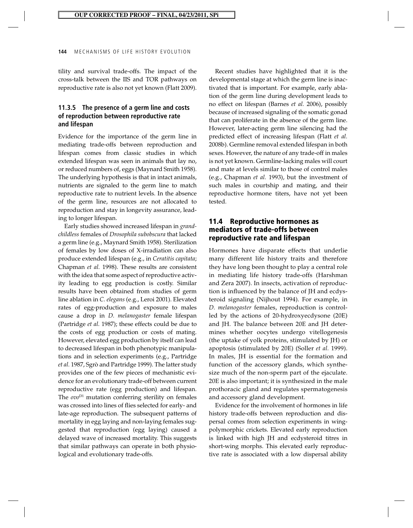tility and survival trade-offs. The impact of the cross-talk between the IIS and TOR pathways on reproductive rate is also not yet known (Flatt 2009).

# **11.3.5 The presence of a germ line and costs of reproduction between reproductive rate and lifespan**

 Evidence for the importance of the germ line in mediating trade-offs between reproduction and lifespan comes from classic studies in which extended lifespan was seen in animals that lay no, or reduced numbers of, eggs ( Maynard Smith 1958 ). The underlying hypothesis is that in intact animals, nutrients are signaled to the germ line to match reproductive rate to nutrient levels. In the absence of the germ line, resources are not allocated to reproduction and stay in longevity assurance, leading to longer lifespan.

 Early studies showed increased lifespan in *grandchildless* females of *Drosophila subobscura* that lacked a germ line (e.g., Maynard Smith 1958). Sterilization of females by low doses of X-irradiation can also produce extended lifespan (e.g., in *Ceratitis capitata* ; Chapman *et al.* 1998). These results are consistent with the idea that some aspect of reproductive activity leading to egg production is costly. Similar results have been obtained from studies of germ line ablation in *C. elegans* (e.g., Leroi 2001). Elevated rates of egg-production and exposure to males cause a drop in *D. melanogaster* female lifespan (Partridge *et al.* 1987); these effects could be due to the costs of egg production or costs of mating. However, elevated egg production by itself can lead to decreased lifespan in both phenotypic manipulations and in selection experiments (e.g., Partridge *et al.* 1987, Sgrò and Partridge 1999 ). The latter study provides one of the few pieces of mechanistic evidence for an evolutionary trade-off between current reproductive rate (egg production) and lifespan. The  $\partial v \partial^{D1}$  mutation conferring sterility on females was crossed into lines of flies selected for early- and late-age reproduction. The subsequent patterns of mortality in egg laying and non-laying females suggested that reproduction (egg laying) caused a delayed wave of increased mortality. This suggests that similar pathways can operate in both physiological and evolutionary trade-offs.

 Recent studies have highlighted that it is the developmental stage at which the germ line is inactivated that is important. For example, early ablation of the germ line during development leads to no effect on lifespan (Barnes *et al.* 2006), possibly because of increased signaling of the somatic gonad that can proliferate in the absence of the germ line. However, later-acting germ line silencing had the predicted effect of increasing lifespan (Flatt et al. 2008b). Germline removal extended lifespan in both sexes. However, the nature of any trade-off in males is not yet known. Germline-lacking males will court and mate at levels similar to those of control males (e.g., Chapman *et al.* 1993), but the investment of such males in courtship and mating, and their reproductive hormone titers, have not yet been tested.

# **11.4 Reproductive hormones as mediators of trade-offs between reproductive rate and lifespan**

 Hormones have disparate effects that underlie many different life history traits and therefore they have long been thought to play a central role in mediating life history trade-offs (Harshman and Zera 2007). In insects, activation of reproduction is influenced by the balance of JH and ecdysteroid signaling (Nijhout 1994). For example, in *D. melanogaster* females, reproduction is controlled by the actions of 20-hydroxyecdysone (20E) and JH. The balance between 20E and JH determines whether oocytes undergo vitellogenesis (the uptake of yolk proteins, stimulated by JH) or apoptosis (stimulated by 20E) (Soller *et al.* 1999). In males, JH is essential for the formation and function of the accessory glands, which synthesize much of the non-sperm part of the ejaculate. 20E is also important; it is synthesized in the male prothoracic gland and regulates spermatogenesis and accessory gland development.

 Evidence for the involvement of hormones in life history trade-offs between reproduction and dispersal comes from selection experiments in wingpolymorphic crickets. Elevated early reproduction is linked with high JH and ecdysteroid titres in short-wing morphs. This elevated early reproductive rate is associated with a low dispersal ability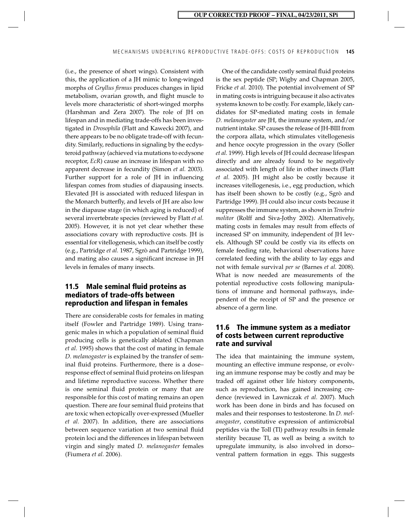(i.e., the presence of short wings). Consistent with this, the application of a JH mimic to long-winged morphs of *Gryllus firmus* produces changes in lipid metabolism, ovarian growth, and flight muscle to levels more characteristic of short-winged morphs (Harshman and Zera 2007). The role of JH on lifespan and in mediating trade-offs has been investigated in *Drosophila* (Flatt and Kawecki 2007), and there appears to be no obligate trade-off with fecundity. Similarly, reductions in signaling by the ecdysteroid pathway (achieved via mutations to ecdysone receptor, *EcR*) cause an increase in lifespan with no apparent decrease in fecundity (Simon *et al.* 2003). Further support for a role of JH in influencing lifespan comes from studies of diapausing insects. Elevated JH is associated with reduced lifespan in the Monarch butterfly, and levels of JH are also low in the diapause stage (in which aging is reduced) of several invertebrate species (reviewed by Flatt *et al.* 2005). However, it is not yet clear whether these associations covary with reproductive costs. JH is essential for vitellogenesis, which can itself be costly (e.g., Partridge *et al.* 1987, Sgrò and Partridge 1999 ), and mating also causes a significant increase in JH levels in females of many insects.

# **11.5 Male seminal fluid proteins as mediators of trade-offs between reproduction and lifespan in females**

 There are considerable costs for females in mating itself (Fowler and Partridge 1989). Using transgenic males in which a population of seminal fluid producing cells is genetically ablated ( Chapman *et al.* 1995) shows that the cost of mating in female *D. melanogaster* is explained by the transfer of seminal fluid proteins. Furthermore, there is a doseresponse effect of seminal fluid proteins on lifespan and lifetime reproductive success. Whether there is one seminal fluid protein or many that are responsible for this cost of mating remains an open question. There are four seminal fluid proteins that are toxic when ectopically over-expressed (Mueller *et al.* 2007). In addition, there are associations between sequence variation at two seminal fluid protein loci and the differences in lifespan between virgin and singly mated *D. melanogaster* females ( Fiumera *et al.* 2006 ).

One of the candidate costly seminal fluid proteins is the sex peptide (SP; Wigby and Chapman 2005, Fricke *et al.* 2010). The potential involvement of SP in mating costs is intriguing because it also activates systems known to be costly. For example, likely candidates for SP-mediated mating costs in female *D. melanogaster* are JH, the immune system, and/or nutrient intake. SP causes the release of JH-BIII from the corpora allata, which stimulates vitellogenesis and hence oocyte progression in the ovary (Soller et al. 1999). High levels of JH could decrease lifespan directly and are already found to be negatively associated with length of life in other insects (Flatt *et al.* 2005). JH might also be costly because it increases vitellogenesis, i.e., egg production, which has itself been shown to be costly (e.g., Sgrò and Partridge 1999). JH could also incur costs because it suppresses the immune system, as shown in *Tenebrio*  molitor (Rolff and Siva-Jothy 2002). Alternatively, mating costs in females may result from effects of increased SP on immunity, independent of JH levels. Although SP could be costly via its effects on female feeding rate, behavioral observations have correlated feeding with the ability to lay eggs and not with female survival *per se* ( Barnes *et al.* 2008 ). What is now needed are measurements of the potential reproductive costs following manipulations of immune and hormonal pathways, independent of the receipt of SP and the presence or absence of a germ line.

# **11.6 The immune system as a mediator of costs between current reproductive rate and survival**

 The idea that maintaining the immune system, mounting an effective immune response, or evolving an immune response may be costly and may be traded off against other life history components, such as reproduction, has gained increasing credence (reviewed in Lawniczak et al. 2007). Much work has been done in birds and has focused on males and their responses to testosterone. In *D. melanogaster* , constitutive expression of antimicrobial peptides via the Toll (Tl) pathway results in female sterility because Tl, as well as being a switch to upregulate immunity, is also involved in dorso– ventral pattern formation in eggs. This suggests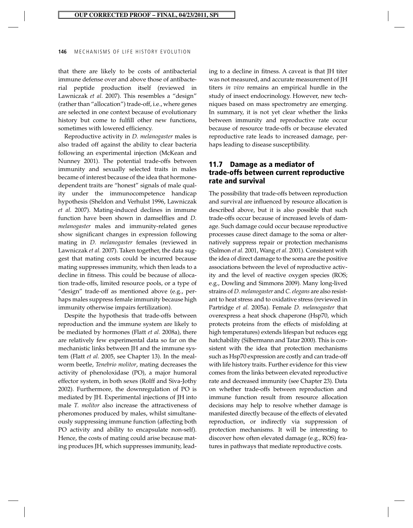that there are likely to be costs of antibacterial immune defense over and above those of antibacterial peptide production itself (reviewed in Lawniczak et al. 2007). This resembles a "design" (rather than "allocation") trade-off, i.e., where genes are selected in one context because of evolutionary history but come to fulfill other new functions, sometimes with lowered efficiency.

 Reproductive activity in *D. melanogaster* males is also traded off against the ability to clear bacteria following an experimental injection (McKean and Nunney 2001). The potential trade-offs between immunity and sexually selected traits in males became of interest because of the idea that hormonedependent traits are "honest" signals of male quality under the immunocompetence handicap hypothesis (Sheldon and Verhulst 1996, Lawniczak et al. 2007). Mating-induced declines in immune function have been shown in damselflies and *D*. *melanogaster* males and immunity-related genes show significant changes in expression following mating in *D. melanogaster* females (reviewed in Lawniczak *et al.* 2007). Taken together, the data suggest that mating costs could be incurred because mating suppresses immunity, which then leads to a decline in fitness. This could be because of allocation trade-offs, limited resource pools, or a type of "design" trade-off as mentioned above (e.g., perhaps males suppress female immunity because high immunity otherwise impairs fertilization).

 Despite the hypothesis that trade-offs between reproduction and the immune system are likely to be mediated by hormones (Flatt *et al.* 2008a), there are relatively few experimental data so far on the mechanistic links between JH and the immune system (Flatt et al. 2005, see Chapter 13). In the mealworm beetle, *Tenebrio molitor*, mating decreases the activity of phenoloxidase (PO), a major humoral effector system, in both sexes ( Rolff and Siva-Jothy 2002). Furthermore, the downregulation of PO is mediated by JH. Experimental injections of JH into male *T. molitor* also increase the attractiveness of pheromones produced by males, whilst simultaneously suppressing immune function (affecting both PO activity and ability to encapsulate non-self). Hence, the costs of mating could arise because mating produces JH, which suppresses immunity, leading to a decline in fitness. A caveat is that JH titer was not measured, and accurate measurement of JH titers *in vivo* remains an empirical hurdle in the study of insect endocrinology. However, new techniques based on mass spectrometry are emerging. In summary, it is not yet clear whether the links between immunity and reproductive rate occur because of resource trade-offs or because elevated reproductive rate leads to increased damage, perhaps leading to disease susceptibility.

# **11.7 Damage as a mediator of trade-offs between current reproductive rate and survival**

 The possibility that trade-offs between reproduction and survival are influenced by resource allocation is described above, but it is also possible that such trade-offs occur because of increased levels of damage. Such damage could occur because reproductive processes cause direct damage to the soma or alternatively suppress repair or protection mechanisms ( Salmon *et al.* 2001 , Wang *et al.* 2001 ). Consistent with the idea of direct damage to the soma are the positive associations between the level of reproductive activity and the level of reactive oxygen species (ROS; e.g., Dowling and Simmons 2009). Many long-lived strains of *D. melanogaster* and *C. elegans* are also resistant to heat stress and to oxidative stress (reviewed in Partridge *et al.* 2005a ). Female *D. melanogaster* that overexpress a heat shock chaperone (Hsp70, which protects proteins from the effects of misfolding at high temperatures) extends lifespan but reduces egg hatchability (Silbermann and Tatar 2000). This is consistent with the idea that protection mechanisms such as Hsp70 expression are costly and can trade-off with life history traits. Further evidence for this view comes from the links between elevated reproductive rate and decreased immunity (see Chapter 23). Data on whether trade-offs between reproduction and immune function result from resource allocation decisions may help to resolve whether damage is manifested directly because of the effects of elevated reproduction, or indirectly via suppression of protection mechanisms. It will be interesting to discover how often elevated damage (e.g., ROS) features in pathways that mediate reproductive costs.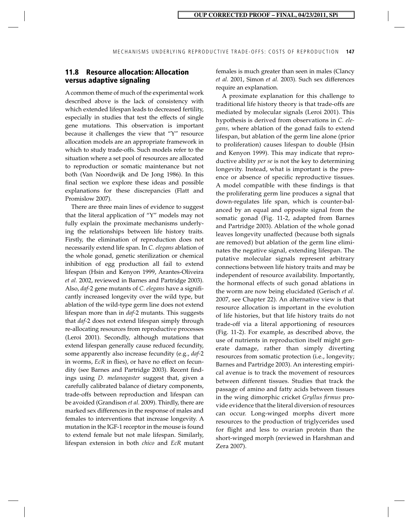# **11.8 Resource allocation: Allocation versus adaptive signaling**

 A common theme of much of the experimental work described above is the lack of consistency with which extended lifespan leads to decreased fertility, especially in studies that test the effects of single gene mutations. This observation is important because it challenges the view that "Y" resource allocation models are an appropriate framework in which to study trade-offs. Such models refer to the situation where a set pool of resources are allocated to reproduction or somatic maintenance but not both (Van Noordwijk and De Jong 1986). In this final section we explore these ideas and possible explanations for these discrepancies (Flatt and Promislow 2007).

 There are three main lines of evidence to suggest that the literal application of "Y" models may not fully explain the proximate mechanisms underlying the relationships between life history traits. Firstly, the elimination of reproduction does not necessarily extend life span. In *C. elegans* ablation of the whole gonad, genetic sterilization or chemical inhibition of egg production all fail to extend lifespan (Hsin and Kenyon 1999, Arantes-Oliveira *et al.* 2002, reviewed in Barnes and Partridge 2003). Also, *daf-*2 gene mutants of *C. elegans* have a signifi cantly increased longevity over the wild type, but ablation of the wild-type germ line does not extend lifespan more than in *daf-*2 mutants. This suggests that *daf-*2 does not extend lifespan simply through re-allocating resources from reproductive processes (Leroi 2001). Secondly, although mutations that extend lifespan generally cause reduced fecundity, some apparently also increase fecundity (e.g., *daf-*2 in worms, *EcR* in flies), or have no effect on fecundity (see Barnes and Partridge 2003). Recent findings using *D. melanogaster* suggest that, given a carefully calibrated balance of dietary components, trade-offs between reproduction and lifespan can be avoided (Grandison et al. 2009). Thirdly, there are marked sex differences in the response of males and females to interventions that increase longevity. A mutation in the IGF-1 receptor in the mouse is found to extend female but not male lifespan. Similarly, lifespan extension in both *chico* and *EcR* mutant

females is much greater than seen in males (Clancy *et al.* 2001, Simon *et al.* 2003). Such sex differences require an explanation.

 A proximate explanation for this challenge to traditional life history theory is that trade-offs are mediated by molecular signals (Leroi 2001). This hypothesis is derived from observations in *C. elegans,* where ablation of the gonad fails to extend lifespan, but ablation of the germ line alone (prior to proliferation) causes lifespan to double (Hsin and Kenyon 1999). This may indicate that reproductive ability *per se* is not the key to determining longevity. Instead, what is important is the presence or absence of specific reproductive tissues. A model compatible with these findings is that the proliferating germ line produces a signal that down-regulates life span, which is counter-balanced by an equal and opposite signal from the somatic gonad (Fig. 11-2, adapted from Barnes and Partridge 2003). Ablation of the whole gonad leaves longevity unaffected (because both signals are removed) but ablation of the germ line eliminates the negative signal, extending lifespan. The putative molecular signals represent arbitrary connections between life history traits and may be independent of resource availability. Importantly, the hormonal effects of such gonad ablations in the worm are now being elucidated (Gerisch et al. 2007, see Chapter 22). An alternative view is that resource allocation is important in the evolution of life histories, but that life history traits do not trade-off via a literal apportioning of resources (Fig. 11-2). For example, as described above, the use of nutrients in reproduction itself might generate damage, rather than simply diverting resources from somatic protection (i.e., longevity; Barnes and Partridge 2003). An interesting empirical avenue is to track the movement of resources between different tissues. Studies that track the passage of amino and fatty acids between tissues in the wing dimorphic cricket *Gryllus firmus* provide evidence that the literal diversion of resources can occur. Long-winged morphs divert more resources to the production of triglycerides used for flight and less to ovarian protein than the short-winged morph (reviewed in Harshman and Zera 2007).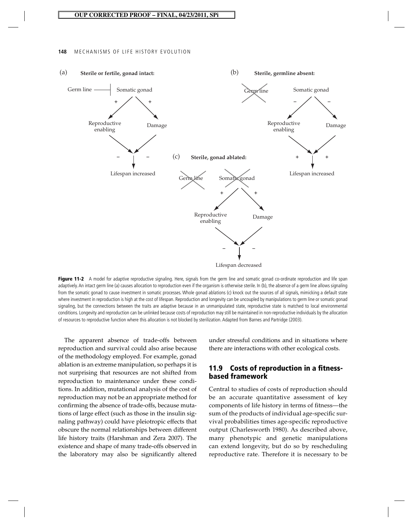

Figure 11-2 A model for adaptive reproductive signaling. Here, signals from the germ line and somatic gonad co-ordinate reproduction and life span adaptively. An intact germ line (a) causes allocation to reproduction even if the organism is otherwise sterile. In (b), the absence of a germ line allows signaling from the somatic gonad to cause investment in somatic processes. Whole gonad ablations (c) knock out the sources of all signals, mimicking a default state where investment in reproduction is high at the cost of lifespan. Reproduction and longevity can be uncoupled by manipulations to germ line or somatic gonad signaling, but the connections between the traits are adaptive because in an unmanipulated state, reproductive state is matched to local environmental conditions. Longevity and reproduction can be unlinked because costs of reproduction may still be maintained in non-reproductive individuals by the allocation of resources to reproductive function where this allocation is not blocked by sterilization. Adapted from Barnes and Partridge ( 2003 ) .

 The apparent absence of trade-offs between reproduction and survival could also arise because of the methodology employed. For example, gonad ablation is an extreme manipulation, so perhaps it is not surprising that resources are not shifted from reproduction to maintenance under these conditions. In addition, mutational analysis of the cost of reproduction may not be an appropriate method for confirming the absence of trade-offs, because mutations of large effect (such as those in the insulin signaling pathway) could have pleiotropic effects that obscure the normal relationships between different life history traits (Harshman and Zera 2007). The existence and shape of many trade-offs observed in the laboratory may also be significantly altered under stressful conditions and in situations where there are interactions with other ecological costs.

# 11.9 Costs of reproduction in a fitness**based framework**

 Central to studies of costs of reproduction should be an accurate quantitative assessment of key components of life history in terms of fitness-the sum of the products of individual age-specific survival probabilities times age-specific reproductive output (Charlesworth 1980). As described above, many phenotypic and genetic manipulations can extend longevity, but do so by rescheduling reproductive rate. Therefore it is necessary to be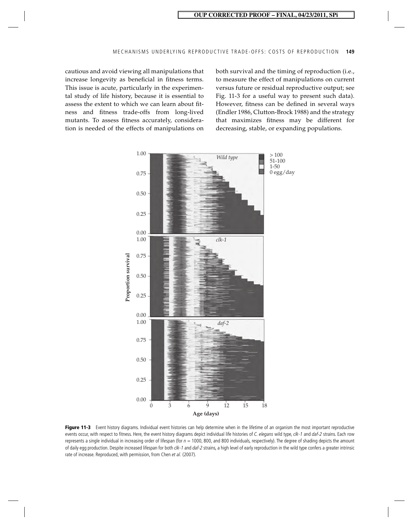cautious and avoid viewing all manipulations that increase longevity as beneficial in fitness terms. This issue is acute, particularly in the experimental study of life history, because it is essential to assess the extent to which we can learn about fitness and fitness trade-offs from long-lived mutants. To assess fitness accurately, consideration is needed of the effects of manipulations on both survival and the timing of reproduction (i.e., to measure the effect of manipulations on current versus future or residual reproductive output; see Fig. 11-3 for a useful way to present such data). However, fitness can be defined in several ways (Endler 1986, Clutton-Brock 1988) and the strategy that maximizes fitness may be different for decreasing, stable, or expanding populations.



Figure 11-3 Event history diagrams. Individual event histories can help determine when in the lifetime of an organism the most important reproductive events occur, with respect to fitness. Here, the event history diagrams depict individual life histories of C. elegans wild type, clk-1 and daf-2 strains. Each row represents a single individual in increasing order of lifespan (for  $n = 1000$ , 800, and 800 individuals, respectively). The degree of shading depicts the amount of daily egg production. Despite increased lifespan for both clk-1 and daf-2 strains, a high level of early reproduction in the wild type confers a greater intrinsic rate of increase. Reproduced, with permission, from Chen et al. (2007).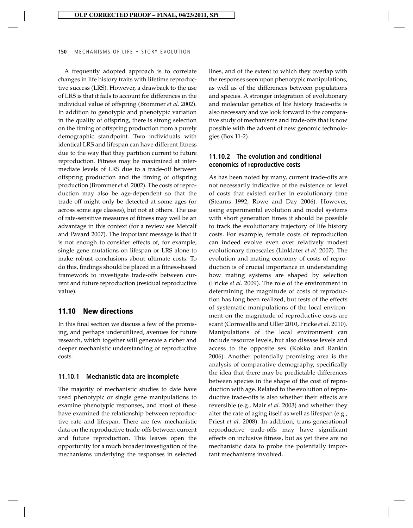A frequently adopted approach is to correlate changes in life history traits with lifetime reproductive success (LRS). However, a drawback to the use of LRS is that it fails to account for differences in the individual value of offspring (Brommer *et al.* 2002). In addition to genotypic and phenotypic variation in the quality of offspring, there is strong selection on the timing of offspring production from a purely demographic standpoint. Two individuals with identical LRS and lifespan can have different fitness due to the way that they partition current to future reproduction. Fitness may be maximized at intermediate levels of LRS due to a trade-off between offspring production and the timing of offspring production (Brommer *et al.* 2002). The costs of reproduction may also be age-dependent so that the trade-off might only be detected at some ages (or across some age classes), but not at others. The use of rate-sensitive measures of fitness may well be an advantage in this context (for a review see Metcalf and Pavard 2007). The important message is that it is not enough to consider effects of, for example, single gene mutations on lifespan or LRS alone to make robust conclusions about ultimate costs. To do this, findings should be placed in a fitness-based framework to investigate trade-offs between current and future reproduction (residual reproductive value).

# **11.10 New directions**

In this final section we discuss a few of the promising, and perhaps underutilized, avenues for future research, which together will generate a richer and deeper mechanistic understanding of reproductive costs.

#### **11.10.1 Mechanistic data are incomplete**

 The majority of mechanistic studies to date have used phenotypic or single gene manipulations to examine phenotypic responses, and most of these have examined the relationship between reproductive rate and lifespan. There are few mechanistic data on the reproductive trade-offs between current and future reproduction. This leaves open the opportunity for a much broader investigation of the mechanisms underlying the responses in selected lines, and of the extent to which they overlap with the responses seen upon phenotypic manipulations, as well as of the differences between populations and species. A stronger integration of evolutionary and molecular genetics of life history trade-offs is also necessary and we look forward to the comparative study of mechanisms and trade-offs that is now possible with the advent of new genomic technologies ( $Box 11-2$ ).

### **11.10.2 The evolution and conditional economics of reproductive costs**

 As has been noted by many, current trade-offs are not necessarily indicative of the existence or level of costs that existed earlier in evolutionary time (Stearns 1992, Rowe and Day 2006). However, using experimental evolution and model systems with short generation times it should be possible to track the evolutionary trajectory of life history costs. For example, female costs of reproduction can indeed evolve even over relatively modest evolutionary timescales ( Linklater *et al.* 2007 ). The evolution and mating economy of costs of reproduction is of crucial importance in understanding how mating systems are shaped by selection ( Fricke *et al.* 2009 ). The role of the environment in determining the magnitude of costs of reproduction has long been realized, but tests of the effects of systematic manipulations of the local environment on the magnitude of reproductive costs are scant (Cornwallis and Uller 2010, Fricke et al. 2010). Manipulations of the local environment can include resource levels, but also disease levels and access to the opposite sex (Kokko and Rankin 2006). Another potentially promising area is the analysis of comparative demography, specifically the idea that there may be predictable differences between species in the shape of the cost of reproduction with age. Related to the evolution of reproductive trade-offs is also whether their effects are reversible (e.g., Mair *et al.* 2003) and whether they alter the rate of aging itself as well as lifespan (e.g., Priest *et al.* 2008). In addition, trans-generational reproductive trade-offs may have significant effects on inclusive fitness, but as yet there are no mechanistic data to probe the potentially important mechanisms involved.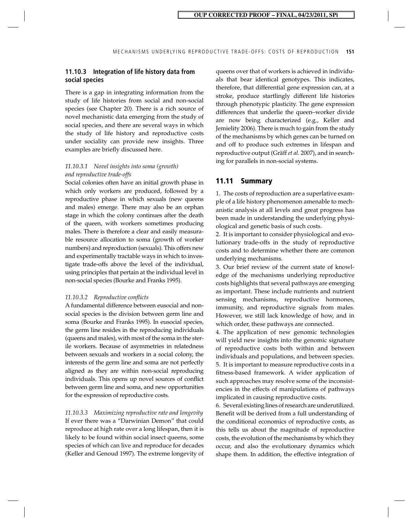## **11.10.3 Integration of life history data from social species**

 There is a gap in integrating information from the study of life histories from social and non-social species (see Chapter 20). There is a rich source of novel mechanistic data emerging from the study of social species, and there are several ways in which the study of life history and reproductive costs under sociality can provide new insights. Three examples are briefly discussed here.

## *11.10.3.1 Novel insights into soma (growth) and reproductive trade-offs*

 Social colonies often have an initial growth phase in which only workers are produced, followed by a reproductive phase in which sexuals (new queens and males) emerge. There may also be an orphan stage in which the colony continues after the death of the queen, with workers sometimes producing males. There is therefore a clear and easily measurable resource allocation to soma (growth of worker numbers) and reproduction (sexuals). This offers new and experimentally tractable ways in which to investigate trade-offs above the level of the individual, using principles that pertain at the individual level in non-social species (Bourke and Franks 1995).

#### *11.10.3.2 Reproductive confl icts*

 A fundamental difference between eusocial and nonsocial species is the division between germ line and soma (Bourke and Franks 1995). In eusocial species, the germ line resides in the reproducing individuals (queens and males), with most of the soma in the sterile workers. Because of asymmetries in relatedness between sexuals and workers in a social colony, the interests of the germ line and soma are not perfectly aligned as they are within non-social reproducing individuals. This opens up novel sources of conflict between germ line and soma, and new opportunities for the expression of reproductive costs.

 *11.10.3.3 Maximizing reproductive rate and longevity*  If ever there was a "Darwinian Demon" that could reproduce at high rate over a long lifespan, then it is likely to be found within social insect queens, some species of which can live and reproduce for decades (Keller and Genoud 1997). The extreme longevity of queens over that of workers is achieved in individuals that bear identical genotypes. This indicates, therefore, that differential gene expression can, at a stroke, produce startlingly different life histories through phenotypic plasticity. The gene expression differences that underlie the queen–worker divide are now being characterized (e.g., Keller and Jemielity 2006). There is much to gain from the study of the mechanisms by which genes can be turned on and off to produce such extremes in lifespan and reproductive output (Gräff et al. 2007), and in searching for parallels in non-social systems.

### **11.11 Summary**

 1. The costs of reproduction are a superlative example of a life history phenomenon amenable to mechanistic analysis at all levels and great progress has been made in understanding the underlying physiological and genetic basis of such costs.

 2. It is important to consider physiological and evolutionary trade-offs in the study of reproductive costs and to determine whether there are common underlying mechanisms.

 3. Our brief review of the current state of knowledge of the mechanisms underlying reproductive costs highlights that several pathways are emerging as important. These include nutrients and nutrient sensing mechanisms, reproductive hormones, immunity, and reproductive signals from males. However, we still lack knowledge of how, and in which order, these pathways are connected.

 4. The application of new genomic technologies will yield new insights into the genomic signature of reproductive costs both within and between individuals and populations, and between species. 5. It is important to measure reproductive costs in a fitness-based framework. A wider application of such approaches may resolve some of the inconsistencies in the effects of manipulations of pathways implicated in causing reproductive costs.

6. Several existing lines of research are underutilized. Benefit will be derived from a full understanding of the conditional economics of reproductive costs, as this tells us about the magnitude of reproductive costs, the evolution of the mechanisms by which they occur, and also the evolutionary dynamics which shape them. In addition, the effective integration of